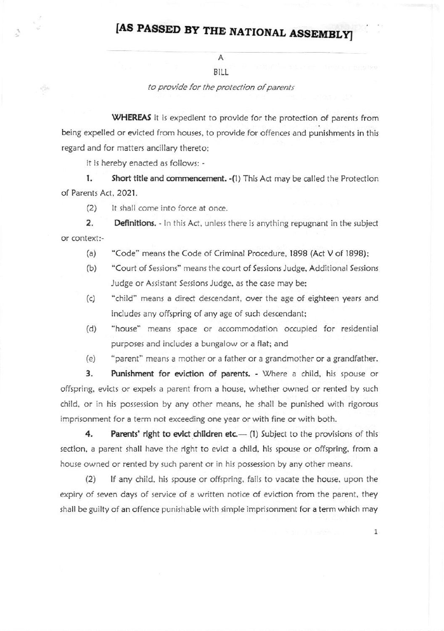## [AS PASSED BY THE NATIONAL ASSEMBLY]

## $\mathsf{A}$ BILL

to provide for the protection of parents

WHEREAS it is expedient to provide for the protection of parents from being expelled or evicted from houses, to provide for offences and punishments in this regard and for matters ancillary thereto;

it is hereby enacted as follows: -

Ö.

Short title and commencement. - (1) This Act may be called the Protection 1. of Parents Act, 2021.

It shall come into force at once.  $(2)$ 

2. Definitions. - In this Act, unless there is anything repugnant in the subject or context:-

- "Code" means the Code of Criminal Procedure, 1898 (Act V of 1898);  $(a)$
- $(b)$ "Court of Sessions" means the court of Sessions Judge, Additional Sessions Judge or Assistant Sessions Judge, as the case may be;
- $(c)$ "child" means a direct descendant, over the age of eighteen years and includes any offspring of any age of such descendant;
- $(d)$ "house" means space or accommodation occupied for residential purposes and includes a bungalow or a flat; and
- "parent" means a mother or a father or a grandmother or a grandfather.  $(e)$

3. Punishment for eviction of parents. - Where a child, his spouse or offspring, evicts or expels a parent from a house, whether owned or rented by such child, or in his possession by any other means, he shall be punished with rigorous imprisonment for a term not exceeding one year or with fine or with both.

4. Parents' right to evict children etc.— (1) Subject to the provisions of this section, a parent shall have the right to evict a child, his spouse or offspring, from a house owned or rented by such parent or in his possession by any other means.

If any child, his spouse or offspring, fails to vacate the house, upon the  $(2)$ expiry of seven days of service of a written notice of eviction from the parent, they shall be guilty of an offence punishable with simple imprisonment for a term which may

 $\mathbf{1}$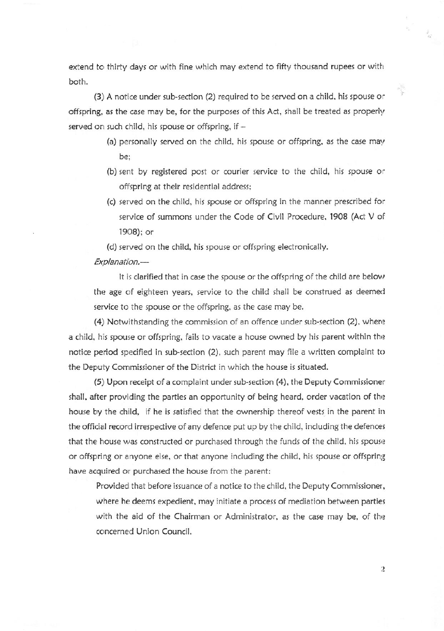extend to thirty days or with fine which may extend to fifty thousand rupees or with both.

 $(3)$  A notice under sub-section  $(2)$  required to be served on a child, his spouse or offspring, as the case may be, for the purposes of this Act, shall be treated as properly served on such child, his spouse or offspring, if  $-$ 

- (a) personally served on the child, his spouse or offspring, as the case may be:
- (b) sent by registered post or courier service to the child, his spouse or offspring at their residential address;
- (c) served on the child, his rpoute or offtpring in the manner prescribed for service of summons under the Code of Civil Procedure, 1908 (Act V of l9O8); or

(d) served on the child, his spoure or offipring electronically.

## Explanation.-

It is clarified that in case the spouse or the offspring of the child are below the age of eighteen years, service to the child shall be construed as deemed service to the spouse or the offspring, as the case may be.

 $(4)$  Notwithstanding the commission of an offence under sub-section  $(2)$ , where a child, his spouse or offspring, fails to vacate a house owned by his parent within the notice period specified in sub-section (2), such parent may file a written complaint to the Deputy Commissioner of the District in which the house is situated.

(5) Upon receipt of a complaint under sub-section (4), the Deputy Commissioner shall, after providing the parties an opportunity of being heard, order vacation of the house by the child, if he is satisfied that the ownership thereof vests in the parent in the official record irrespective of any defence put up by the child, including the defences that the house was constructed or purchased through the funds of the child, his spouse or offspring or anyone else, or that anyone including the child, his spouse or offspring have acquired or purchased the house from the parent:

Provided that before issuance of a notice to the child, the Deputy Commissioner, where he deems expedient, may initiate a process of mediation between parties with the aid of the Chairman or Administrator, as the case may be, of the concerned Union Council.

 $\overline{2}$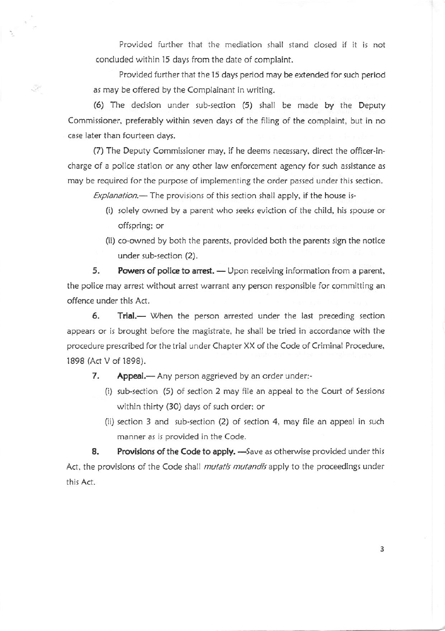Provided further that the mediation shall stand closed if it is not concluded within l5 days from the date of complaint.

Provided further that the l5 days period may be extended for such period as may be offered by the Complainant in writing.

(6) The decision under sub-section (5) shall be made by the Deputy Commissioner, preferably within seven days of the filing of the complaint, but in no case later than fourteen days.

 $\sqrt{2}$ 

(7) The Deputy Commissioner may, if he deems necessary, direct the officer-incharge of a police station or any other law enforcement agency for such assistance as may be required for the purpose of implementing the order passed under this section.

 $Explanation$ — The provisions of this section shall apply, if the house is-

- (i) solely owned by a parent who seeks eviction of the child, his spouse or offspring: or
- (ii) co-owned by both the parents, provided both the parents sign the notice under sub-section (2).

5. Powers of police to arrest. — Upon receiving information from a parent. the police may arrest without arrest warrant any person responsible for committing an offence under thir Act.

6. Trial.- When the person arrested under the last preceding section appears or is brought before the magistrate, he shall be tried in accordance with the procedure prescribed for the trial under Chapter XX of the Code of Criminal Procedure, lB9B (Act V of 1898).

7. Appeal.— Any person aggrieved by an order under:-

- (i) sub-section  $(5)$  of section 2 may file an appeal to the Court of Sessions within thirty (30) days of such order; or
- (ii) section  $3$  and sub-section  $(2)$  of section  $4$ , may file an appeal in such manner as is provided in the Code.

8. Provisions of the Code to apply. - Save as otherwise provided under this Act, the provisions of the Code shall mutatis mutandis apply to the proceedings under this Act.

3